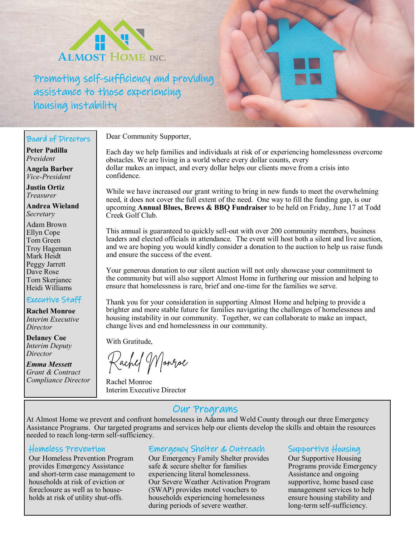

Promoting self-sufficiency and providing assistance to those experiencing housing instability

#### Board of Directors

**Peter Padilla** *President*

**Angela Barber** *Vice-President*

**Justin Ortiz** *Treasurer*

**Andrea Wieland** *Secretary*

Adam Brown Ellyn Cope Tom Green Troy Hageman Mark Heidt Peggy Jarrett Dave Rose Tom Skerjanec Heidi Williams

### Executive Staff

**Rachel Monroe** *Interim Executive Director*

**Delaney Coe** *Interim Deputy Director*

*Emma Messett Grant & Contract Compliance Director* Dear Community Supporter,

Each day we help families and individuals at risk of or experiencing homelessness overcome obstacles. We are living in a world where every dollar counts, every dollar makes an impact, and every dollar helps our clients move from a crisis into confidence.

While we have increased our grant writing to bring in new funds to meet the overwhelming need, it does not cover the full extent of the need. One way to fill the funding gap, is our upcoming **Annual Blues, Brews & BBQ Fundraiser** to be held on Friday, June 17 at Todd Creek Golf Club.

This annual is guaranteed to quickly sell-out with over 200 community members, business leaders and elected officials in attendance. The event will host both a silent and live auction, and we are hoping you would kindly consider a donation to the auction to help us raise funds and ensure the success of the event.

Your generous donation to our silent auction will not only showcase your commitment to the community but will also support Almost Home in furthering our mission and helping to ensure that homelessness is rare, brief and one-time for the families we serve.

Thank you for your consideration in supporting Almost Home and helping to provide a brighter and more stable future for families navigating the challenges of homelessness and housing instability in our community. Together, we can collaborate to make an impact, change lives and end homelessness in our community.

With Gratitude,

achef Worroe

Rachel Monroe Interim Executive Director

### Our Programs

At Almost Home we prevent and confront homelessness in Adams and Weld County through our three Emergency Assistance Programs. Our targeted programs and services help our clients develop the skills and obtain the resources needed to reach long-term self-sufficiency.

#### Homeless Prevention

Our Homeless Prevention Program provides Emergency Assistance and short-term case management to households at risk of eviction or foreclosure as well as to households at risk of utility shut-offs.

### Emergency Shelter & Outreach

Our Emergency Family Shelter provides safe & secure shelter for families experiencing literal homelessness. Our Severe Weather Activation Program (SWAP) provides motel vouchers to households experiencing homelessness during periods of severe weather.

### Supportive Housing

Our Supportive Housing Programs provide Emergency Assistance and ongoing supportive, home based case management services to help ensure housing stability and long-term self-sufficiency.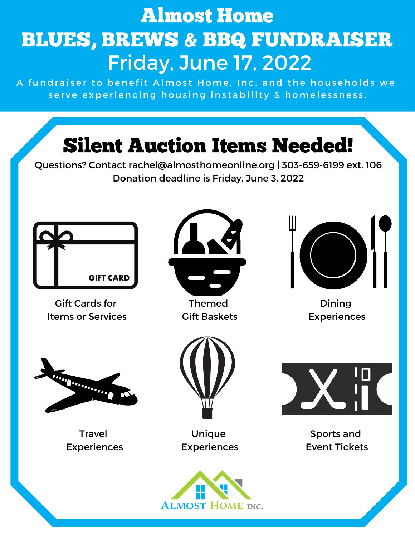## Almost Home BLUES, BREWS & BBQ FUNDRAISER Friday, June 17, 2022

A fundraiser to benefit Almost Home, Inc. and the households we serve experiencing housing instability & homelessness.

# Silent Auction Items Needed!

Questions? Contact rachel@almosthomeonline.org | 303-659-6199 ext. 106 Donation deadline is Friday, June 3, 2022



Gift Cards for Items or Services



Themed Gift Baskets



Dining Experiences



Travel Experiences



Unique Experiences



Sports and Event Tickets